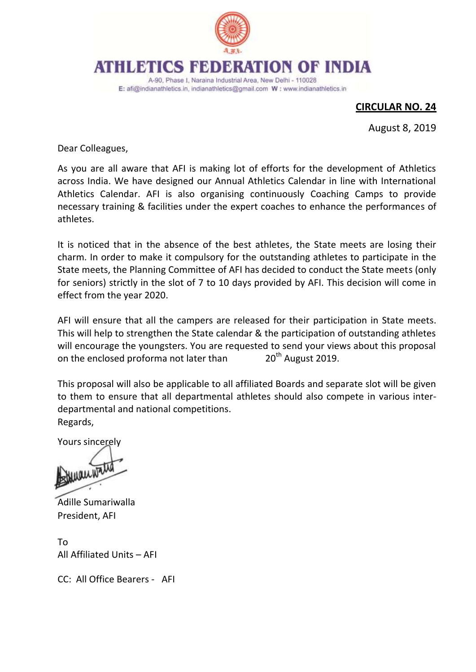

## ATHLEMIQS BED ATION OF INDIA

A-90, Phase I, Naraina Industrial Area, New Delhi - 110028 E: afi@indianathletics.in, indianathletics@gmail.com W: www.indianathletics.in

## **CIRCULAR NO. 24**

August 8, 2019

Dear Colleagues,

As you are all aware that AFI is making lot of efforts for the development of Athletics across India. We have designed our Annual Athletics Calendar in line with International Athletics Calendar. AFI is also organising continuously Coaching Camps to provide necessary training & facilities under the expert coaches to enhance the performances of athletes.

It is noticed that in the absence of the best athletes, the State meets are losing their charm. In order to make it compulsory for the outstanding athletes to participate in the State meets, the Planning Committee of AFI has decided to conduct the State meets (only for seniors) strictly in the slot of 7 to 10 days provided by AFI. This decision will come in effect from the year 2020.

AFI will ensure that all the campers are released for their participation in State meets. This will help to strengthen the State calendar & the participation of outstanding athletes will encourage the youngsters. You are requested to send your views about this proposal on the enclosed proforma not later than 20<sup>th</sup> August 2019.

This proposal will also be applicable to all affiliated Boards and separate slot will be given to them to ensure that all departmental athletes should also compete in various interdepartmental and national competitions. Regards,

Yours sincerely

**Man Water** 

Adille Sumariwalla President, AFI

To All Affiliated Units – AFI

CC: All Office Bearers - AFI